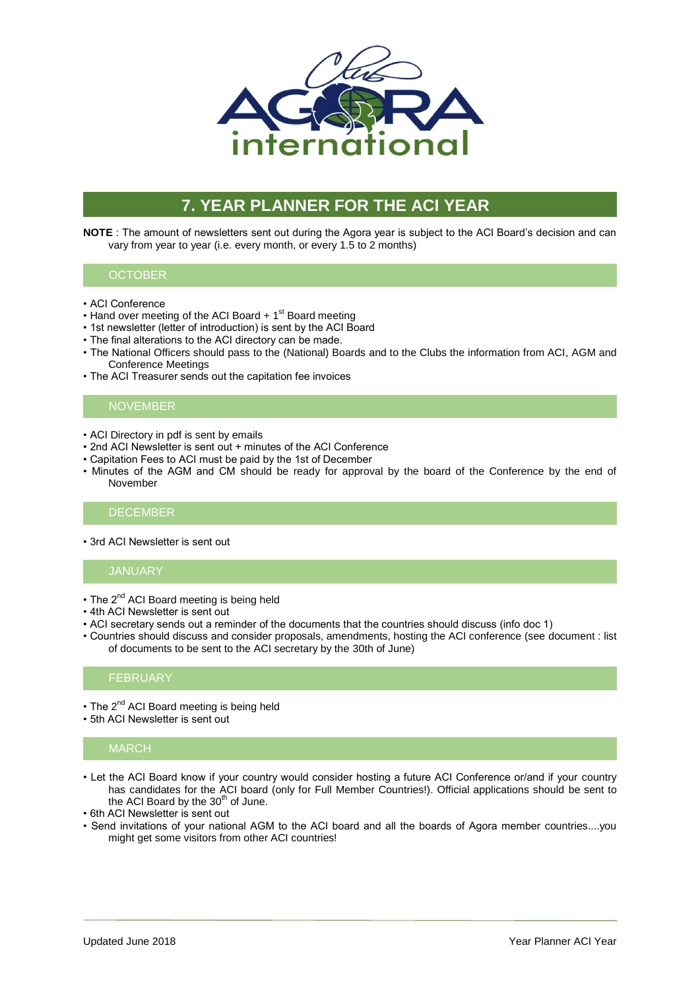

# **7. YEAR PLANNER FOR THE ACI YEAR**

**NOTE** : The amount of newsletters sent out during the Agora year is subject to the ACI Board's decision and can vary from year to year (i.e. every month, or every 1.5 to 2 months)

## **OCTOBER**

- ACI Conference
- Hand over meeting of the ACI Board + 1<sup>st</sup> Board meeting
- 1st newsletter (letter of introduction) is sent by the ACI Board
- The final alterations to the ACI directory can be made.
- The National Officers should pass to the (National) Boards and to the Clubs the information from ACI, AGM and Conference Meetings
- The ACI Treasurer sends out the capitation fee invoices

## **NOVEMBER**

- ACI Directory in pdf is sent by emails
- 2nd ACI Newsletter is sent out + minutes of the ACI Conference
- Capitation Fees to ACI must be paid by the 1st of December
- Minutes of the AGM and CM should be ready for approval by the board of the Conference by the end of November

### DECEMBER

• 3rd ACI Newsletter is sent out

## JANUARY

- $\cdot$  The 2<sup>nd</sup> ACI Board meeting is being held
- 4th ACI Newsletter is sent out
- ACI secretary sends out a reminder of the documents that the countries should discuss (info doc 1)
- Countries should discuss and consider proposals, amendments, hosting the ACI conference (see document : list of documents to be sent to the ACI secretary by the 30th of June)

## FEBRUARY

- The 2<sup>nd</sup> ACI Board meeting is being held
- 5th ACI Newsletter is sent out

### MARCH

- Let the ACI Board know if your country would consider hosting a future ACI Conference or/and if your country has candidates for the ACI board (only for Full Member Countries!). Official applications should be sent to the ACI Board by the  $30<sup>th</sup>$  of June.
- 6th ACI Newsletter is sent out
- Send invitations of your national AGM to the ACI board and all the boards of Agora member countries....you might get some visitors from other ACI countries!